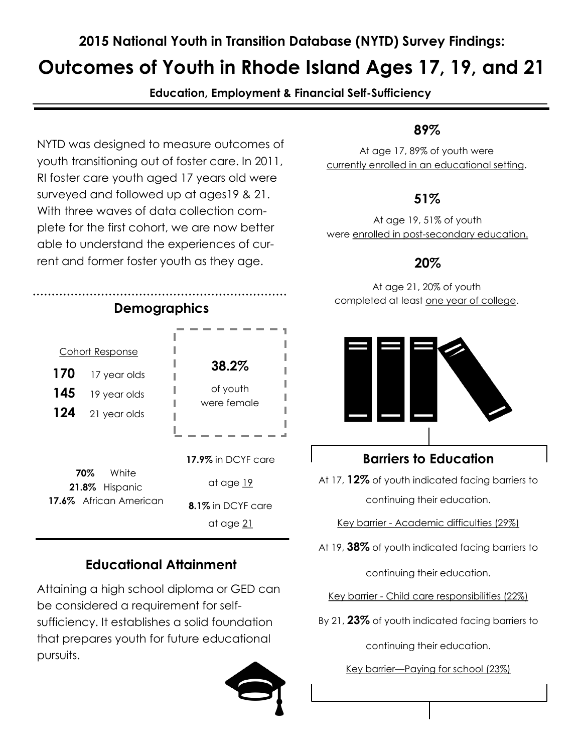### **2015 National Youth in Transition Database (NYTD) Survey Findings:**

# **Outcomes of Youth in Rhode Island Ages 17, 19, and 21**

**Education, Employment & Financial Self-Sufficiency**

NYTD was designed to measure outcomes of youth transitioning out of foster care. In 2011, RI foster care youth aged 17 years old were surveyed and followed up at ages19 & 21. With three waves of data collection complete for the first cohort, we are now better able to understand the experiences of current and former foster youth as they age.



**70%** White **21.8%** Hispanic **17.6%** African American at age 19 **8.1%** in DCYF care at age 21

## **Educational Attainment**

Attaining a high school diploma or GED can be considered a requirement for selfsufficiency. It establishes a solid foundation that prepares youth for future educational pursuits.



#### **89%**

At age 17, 89% of youth were currently enrolled in an educational setting.

#### **51%**

At age 19, 51% of youth were enrolled in post-secondary education.

#### **20%**

At age 21, 20% of youth completed at least one year of college.



#### **Barriers to Education**

At 17, **12%** of youth indicated facing barriers to continuing their education.

Key barrier - Academic difficulties (29%)

At 19, **38%** of youth indicated facing barriers to

continuing their education.

Key barrier - Child care responsibilities (22%)

By 21, **23%** of youth indicated facing barriers to

continuing their education.

Key barrier—Paying for school (23%)